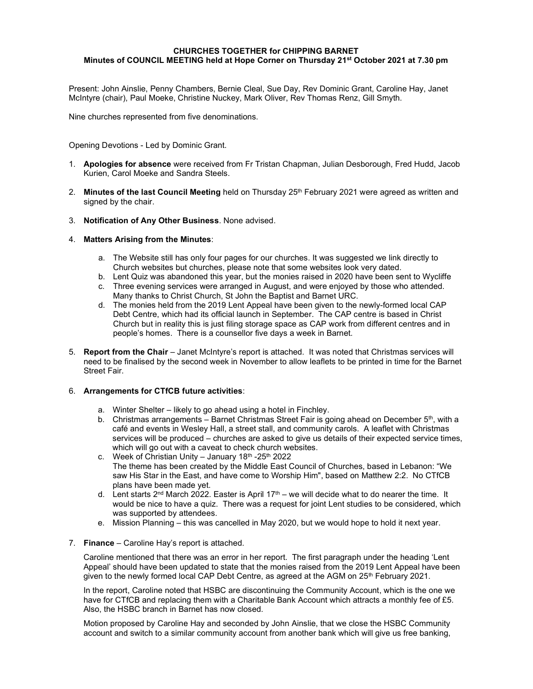#### CHURCHES TOGETHER for CHIPPING BARNET Minutes of COUNCIL MEETING held at Hope Corner on Thursday 21<sup>st</sup> October 2021 at 7.30 pm

Present: John Ainslie, Penny Chambers, Bernie Cleal, Sue Day, Rev Dominic Grant, Caroline Hay, Janet McIntyre (chair), Paul Moeke, Christine Nuckey, Mark Oliver, Rev Thomas Renz, Gill Smyth.

Nine churches represented from five denominations.

Opening Devotions - Led by Dominic Grant.

- 1. **Apologies for absence** were received from Fr Tristan Chapman, Julian Desborough, Fred Hudd, Jacob Kurien, Carol Moeke and Sandra Steels.
- 2. Minutes of the last Council Meeting held on Thursday  $25<sup>th</sup>$  February 2021 were agreed as written and signed by the chair.
- 3. Notification of Any Other Business. None advised.

#### 4. Matters Arising from the Minutes:

- a. The Website still has only four pages for our churches. It was suggested we link directly to Church websites but churches, please note that some websites look very dated.
- b. Lent Quiz was abandoned this year, but the monies raised in 2020 have been sent to Wycliffe
- c. Three evening services were arranged in August, and were enjoyed by those who attended. Many thanks to Christ Church, St John the Baptist and Barnet URC.
- d. The monies held from the 2019 Lent Appeal have been given to the newly-formed local CAP Debt Centre, which had its official launch in September. The CAP centre is based in Christ Church but in reality this is just filing storage space as CAP work from different centres and in people's homes. There is a counsellor five days a week in Barnet.
- 5. Report from the Chair Janet McIntyre's report is attached. It was noted that Christmas services will need to be finalised by the second week in November to allow leaflets to be printed in time for the Barnet Street Fair.

#### 6. Arrangements for CTfCB future activities:

- a. Winter Shelter likely to go ahead using a hotel in Finchley.
- b. Christmas arrangements Barnet Christmas Street Fair is going ahead on December  $5<sup>th</sup>$ , with a café and events in Wesley Hall, a street stall, and community carols. A leaflet with Christmas services will be produced – churches are asked to give us details of their expected service times, which will go out with a caveat to check church websites.
- c. Week of Christian Unity January  $18<sup>th</sup> 25<sup>th</sup>$  2022 The theme has been created by the Middle East Council of Churches, based in Lebanon: "We saw His Star in the East, and have come to Worship Him", based on Matthew 2:2. No CTfCB plans have been made yet.
- d. Lent starts  $2<sup>nd</sup>$  March 2022. Easter is April 17<sup>th</sup> we will decide what to do nearer the time. It would be nice to have a quiz. There was a request for joint Lent studies to be considered, which was supported by attendees.
- e. Mission Planning this was cancelled in May 2020, but we would hope to hold it next year.
- 7. Finance Caroline Hay's report is attached.

Caroline mentioned that there was an error in her report. The first paragraph under the heading 'Lent Appeal' should have been updated to state that the monies raised from the 2019 Lent Appeal have been given to the newly formed local CAP Debt Centre, as agreed at the AGM on  $25<sup>th</sup>$  February 2021.

In the report, Caroline noted that HSBC are discontinuing the Community Account, which is the one we have for CTfCB and replacing them with a Charitable Bank Account which attracts a monthly fee of £5. Also, the HSBC branch in Barnet has now closed.

Motion proposed by Caroline Hay and seconded by John Ainslie, that we close the HSBC Community account and switch to a similar community account from another bank which will give us free banking,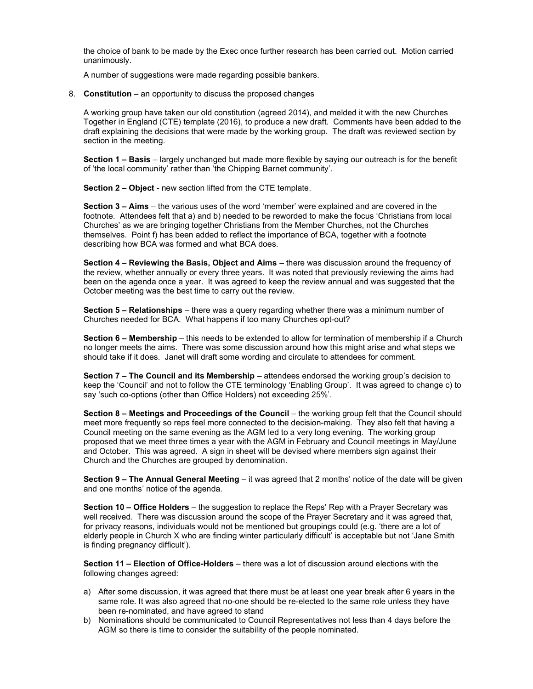the choice of bank to be made by the Exec once further research has been carried out. Motion carried unanimously.

A number of suggestions were made regarding possible bankers.

8. Constitution – an opportunity to discuss the proposed changes

A working group have taken our old constitution (agreed 2014), and melded it with the new Churches Together in England (CTE) template (2016), to produce a new draft. Comments have been added to the draft explaining the decisions that were made by the working group. The draft was reviewed section by section in the meeting.

Section 1 – Basis – largely unchanged but made more flexible by saying our outreach is for the benefit of 'the local community' rather than 'the Chipping Barnet community'.

Section 2 – Object - new section lifted from the CTE template.

Section 3 – Aims – the various uses of the word 'member' were explained and are covered in the footnote. Attendees felt that a) and b) needed to be reworded to make the focus 'Christians from local Churches' as we are bringing together Christians from the Member Churches, not the Churches themselves. Point f) has been added to reflect the importance of BCA, together with a footnote describing how BCA was formed and what BCA does.

Section 4 – Reviewing the Basis, Object and Aims – there was discussion around the frequency of the review, whether annually or every three years. It was noted that previously reviewing the aims had been on the agenda once a year. It was agreed to keep the review annual and was suggested that the October meeting was the best time to carry out the review.

Section 5 – Relationships – there was a query regarding whether there was a minimum number of Churches needed for BCA. What happens if too many Churches opt-out?

Section 6 – Membership – this needs to be extended to allow for termination of membership if a Church no longer meets the aims. There was some discussion around how this might arise and what steps we should take if it does. Janet will draft some wording and circulate to attendees for comment.

Section 7 – The Council and its Membership – attendees endorsed the working group's decision to keep the 'Council' and not to follow the CTE terminology 'Enabling Group'. It was agreed to change c) to say 'such co-options (other than Office Holders) not exceeding 25%'.

Section 8 – Meetings and Proceedings of the Council – the working group felt that the Council should meet more frequently so reps feel more connected to the decision-making. They also felt that having a Council meeting on the same evening as the AGM led to a very long evening. The working group proposed that we meet three times a year with the AGM in February and Council meetings in May/June and October. This was agreed. A sign in sheet will be devised where members sign against their Church and the Churches are grouped by denomination.

Section 9 – The Annual General Meeting – it was agreed that 2 months' notice of the date will be given and one months' notice of the agenda.

Section 10 – Office Holders – the suggestion to replace the Reps' Rep with a Prayer Secretary was well received. There was discussion around the scope of the Prayer Secretary and it was agreed that, for privacy reasons, individuals would not be mentioned but groupings could (e.g. 'there are a lot of elderly people in Church X who are finding winter particularly difficult' is acceptable but not 'Jane Smith is finding pregnancy difficult').

Section 11 – Election of Office-Holders – there was a lot of discussion around elections with the following changes agreed:

- a) After some discussion, it was agreed that there must be at least one year break after 6 years in the same role. It was also agreed that no-one should be re-elected to the same role unless they have been re-nominated, and have agreed to stand
- b) Nominations should be communicated to Council Representatives not less than 4 days before the AGM so there is time to consider the suitability of the people nominated.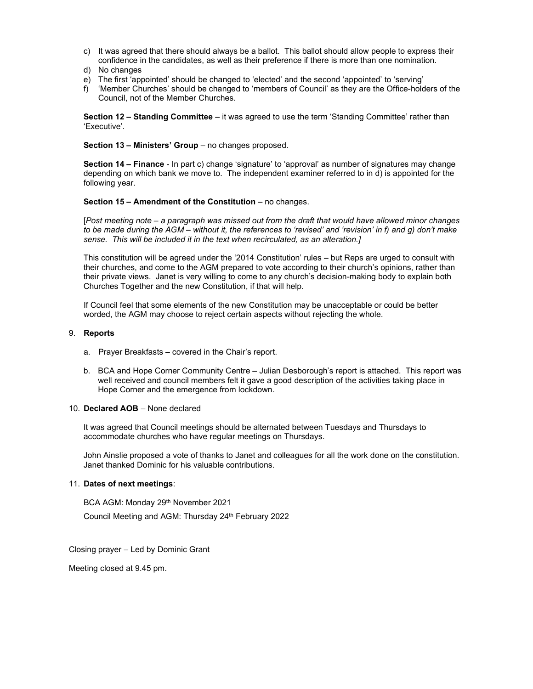- c) It was agreed that there should always be a ballot. This ballot should allow people to express their confidence in the candidates, as well as their preference if there is more than one nomination.
- d) No changes
- e) The first 'appointed' should be changed to 'elected' and the second 'appointed' to 'serving'
- f) 'Member Churches' should be changed to 'members of Council' as they are the Office-holders of the Council, not of the Member Churches.

Section 12 – Standing Committee – it was agreed to use the term 'Standing Committee' rather than 'Executive'.

#### Section 13 – Ministers' Group – no changes proposed.

Section 14 – Finance - In part c) change 'signature' to 'approval' as number of signatures may change depending on which bank we move to. The independent examiner referred to in d) is appointed for the following year.

#### Section 15 – Amendment of the Constitution – no changes.

[Post meeting note – a paragraph was missed out from the draft that would have allowed minor changes to be made during the AGM – without it, the references to 'revised' and 'revision' in f) and g) don't make sense. This will be included it in the text when recirculated, as an alteration.]

This constitution will be agreed under the '2014 Constitution' rules – but Reps are urged to consult with their churches, and come to the AGM prepared to vote according to their church's opinions, rather than their private views. Janet is very willing to come to any church's decision-making body to explain both Churches Together and the new Constitution, if that will help.

If Council feel that some elements of the new Constitution may be unacceptable or could be better worded, the AGM may choose to reject certain aspects without rejecting the whole.

#### 9. Reports

- a. Prayer Breakfasts covered in the Chair's report.
- b. BCA and Hope Corner Community Centre Julian Desborough's report is attached. This report was well received and council members felt it gave a good description of the activities taking place in Hope Corner and the emergence from lockdown.

#### 10. Declared AOB – None declared

It was agreed that Council meetings should be alternated between Tuesdays and Thursdays to accommodate churches who have regular meetings on Thursdays.

John Ainslie proposed a vote of thanks to Janet and colleagues for all the work done on the constitution. Janet thanked Dominic for his valuable contributions.

#### 11. Dates of next meetings:

BCA AGM: Monday 29<sup>th</sup> November 2021

Council Meeting and AGM: Thursday 24<sup>th</sup> February 2022

Closing prayer – Led by Dominic Grant

Meeting closed at 9.45 pm.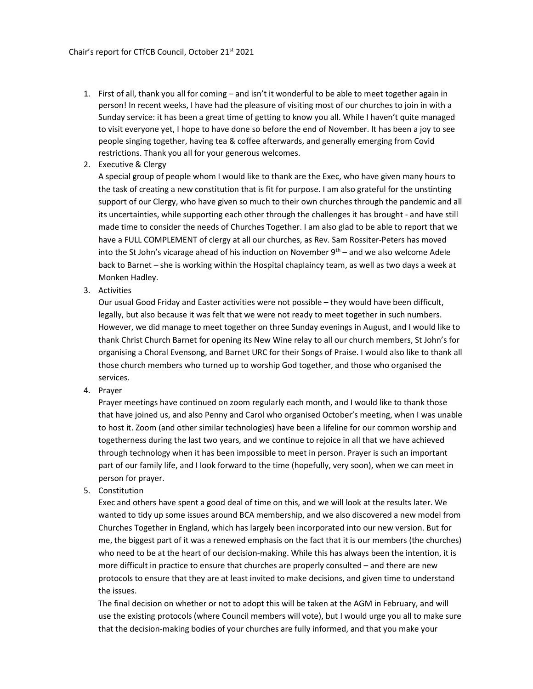- 1. First of all, thank you all for coming and isn't it wonderful to be able to meet together again in person! In recent weeks, I have had the pleasure of visiting most of our churches to join in with a Sunday service: it has been a great time of getting to know you all. While I haven't quite managed to visit everyone yet, I hope to have done so before the end of November. It has been a joy to see people singing together, having tea & coffee afterwards, and generally emerging from Covid restrictions. Thank you all for your generous welcomes.
- 2. Executive & Clergy

A special group of people whom I would like to thank are the Exec, who have given many hours to the task of creating a new constitution that is fit for purpose. I am also grateful for the unstinting support of our Clergy, who have given so much to their own churches through the pandemic and all its uncertainties, while supporting each other through the challenges it has brought - and have still made time to consider the needs of Churches Together. I am also glad to be able to report that we have a FULL COMPLEMENT of clergy at all our churches, as Rev. Sam Rossiter-Peters has moved into the St John's vicarage ahead of his induction on November  $9<sup>th</sup>$  – and we also welcome Adele back to Barnet – she is working within the Hospital chaplaincy team, as well as two days a week at Monken Hadley.

3. Activities

Our usual Good Friday and Easter activities were not possible – they would have been difficult, legally, but also because it was felt that we were not ready to meet together in such numbers. However, we did manage to meet together on three Sunday evenings in August, and I would like to thank Christ Church Barnet for opening its New Wine relay to all our church members, St John's for organising a Choral Evensong, and Barnet URC for their Songs of Praise. I would also like to thank all those church members who turned up to worship God together, and those who organised the services.

4. Prayer

Prayer meetings have continued on zoom regularly each month, and I would like to thank those that have joined us, and also Penny and Carol who organised October's meeting, when I was unable to host it. Zoom (and other similar technologies) have been a lifeline for our common worship and togetherness during the last two years, and we continue to rejoice in all that we have achieved through technology when it has been impossible to meet in person. Prayer is such an important part of our family life, and I look forward to the time (hopefully, very soon), when we can meet in person for prayer.

5. Constitution

Exec and others have spent a good deal of time on this, and we will look at the results later. We wanted to tidy up some issues around BCA membership, and we also discovered a new model from Churches Together in England, which has largely been incorporated into our new version. But for me, the biggest part of it was a renewed emphasis on the fact that it is our members (the churches) who need to be at the heart of our decision-making. While this has always been the intention, it is more difficult in practice to ensure that churches are properly consulted – and there are new protocols to ensure that they are at least invited to make decisions, and given time to understand the issues.

The final decision on whether or not to adopt this will be taken at the AGM in February, and will use the existing protocols (where Council members will vote), but I would urge you all to make sure that the decision-making bodies of your churches are fully informed, and that you make your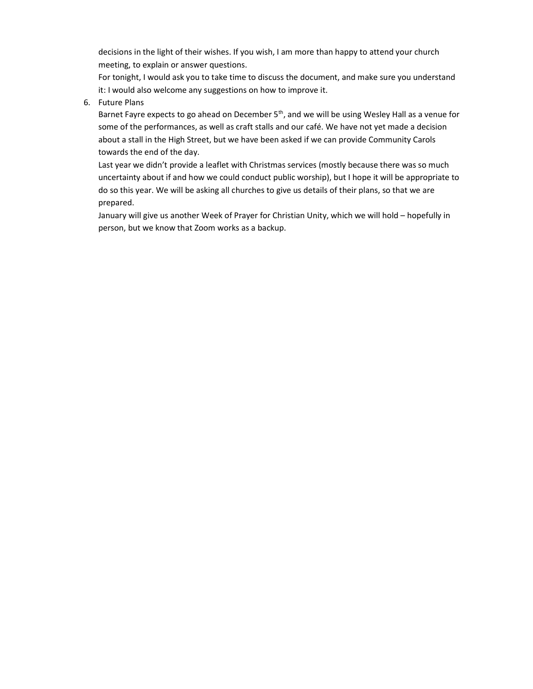decisions in the light of their wishes. If you wish, I am more than happy to attend your church meeting, to explain or answer questions.

For tonight, I would ask you to take time to discuss the document, and make sure you understand it: I would also welcome any suggestions on how to improve it.

6. Future Plans

Barnet Fayre expects to go ahead on December 5<sup>th</sup>, and we will be using Wesley Hall as a venue for some of the performances, as well as craft stalls and our café. We have not yet made a decision about a stall in the High Street, but we have been asked if we can provide Community Carols towards the end of the day.

Last year we didn't provide a leaflet with Christmas services (mostly because there was so much uncertainty about if and how we could conduct public worship), but I hope it will be appropriate to do so this year. We will be asking all churches to give us details of their plans, so that we are prepared.

January will give us another Week of Prayer for Christian Unity, which we will hold – hopefully in person, but we know that Zoom works as a backup.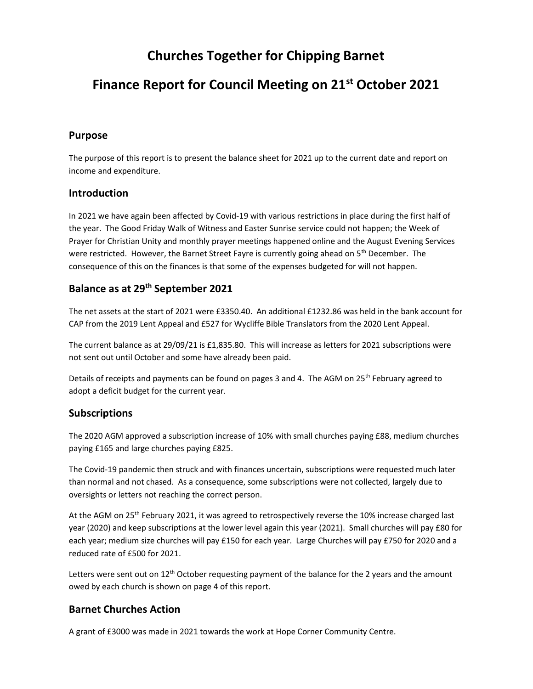## Churches Together for Chipping Barnet

## Finance Report for Council Meeting on 21st October 2021

## Purpose

The purpose of this report is to present the balance sheet for 2021 up to the current date and report on income and expenditure.

## **Introduction**

In 2021 we have again been affected by Covid-19 with various restrictions in place during the first half of the year. The Good Friday Walk of Witness and Easter Sunrise service could not happen; the Week of Prayer for Christian Unity and monthly prayer meetings happened online and the August Evening Services were restricted. However, the Barnet Street Fayre is currently going ahead on  $5<sup>th</sup>$  December. The consequence of this on the finances is that some of the expenses budgeted for will not happen.

## Balance as at 29th September 2021

The net assets at the start of 2021 were £3350.40. An additional £1232.86 was held in the bank account for CAP from the 2019 Lent Appeal and £527 for Wycliffe Bible Translators from the 2020 Lent Appeal.

The current balance as at 29/09/21 is £1,835.80. This will increase as letters for 2021 subscriptions were not sent out until October and some have already been paid.

Details of receipts and payments can be found on pages 3 and 4. The AGM on 25<sup>th</sup> February agreed to adopt a deficit budget for the current year.

### Subscriptions

The 2020 AGM approved a subscription increase of 10% with small churches paying £88, medium churches paying £165 and large churches paying £825.

The Covid-19 pandemic then struck and with finances uncertain, subscriptions were requested much later than normal and not chased. As a consequence, some subscriptions were not collected, largely due to oversights or letters not reaching the correct person.

At the AGM on 25<sup>th</sup> February 2021, it was agreed to retrospectively reverse the 10% increase charged last year (2020) and keep subscriptions at the lower level again this year (2021). Small churches will pay £80 for each year; medium size churches will pay £150 for each year. Large Churches will pay £750 for 2020 and a reduced rate of £500 for 2021.

Letters were sent out on 12<sup>th</sup> October requesting payment of the balance for the 2 years and the amount owed by each church is shown on page 4 of this report.

## Barnet Churches Action

A grant of £3000 was made in 2021 towards the work at Hope Corner Community Centre.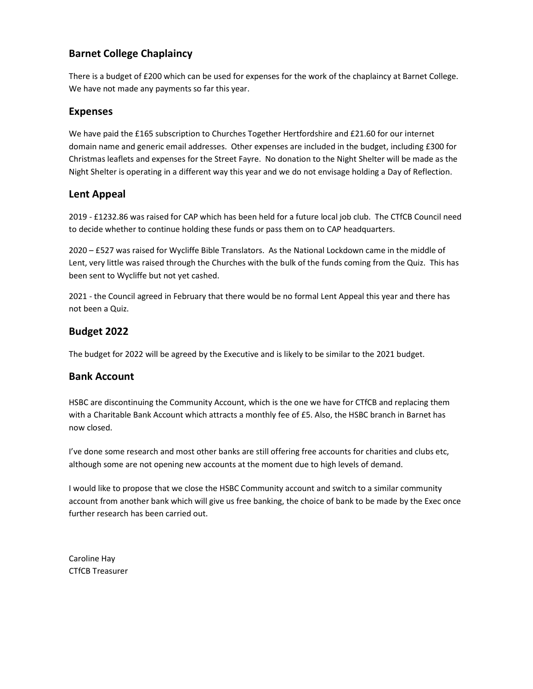## Barnet College Chaplaincy

There is a budget of £200 which can be used for expenses for the work of the chaplaincy at Barnet College. We have not made any payments so far this year.

## Expenses

We have paid the £165 subscription to Churches Together Hertfordshire and £21.60 for our internet domain name and generic email addresses. Other expenses are included in the budget, including £300 for Christmas leaflets and expenses for the Street Fayre. No donation to the Night Shelter will be made as the Night Shelter is operating in a different way this year and we do not envisage holding a Day of Reflection.

## Lent Appeal

2019 - £1232.86 was raised for CAP which has been held for a future local job club. The CTfCB Council need to decide whether to continue holding these funds or pass them on to CAP headquarters.

2020 – £527 was raised for Wycliffe Bible Translators. As the National Lockdown came in the middle of Lent, very little was raised through the Churches with the bulk of the funds coming from the Quiz. This has been sent to Wycliffe but not yet cashed.

2021 - the Council agreed in February that there would be no formal Lent Appeal this year and there has not been a Quiz.

## Budget 2022

The budget for 2022 will be agreed by the Executive and is likely to be similar to the 2021 budget.

### Bank Account

HSBC are discontinuing the Community Account, which is the one we have for CTfCB and replacing them with a Charitable Bank Account which attracts a monthly fee of £5. Also, the HSBC branch in Barnet has now closed.

I've done some research and most other banks are still offering free accounts for charities and clubs etc, although some are not opening new accounts at the moment due to high levels of demand.

I would like to propose that we close the HSBC Community account and switch to a similar community account from another bank which will give us free banking, the choice of bank to be made by the Exec once further research has been carried out.

Caroline Hay CTfCB Treasurer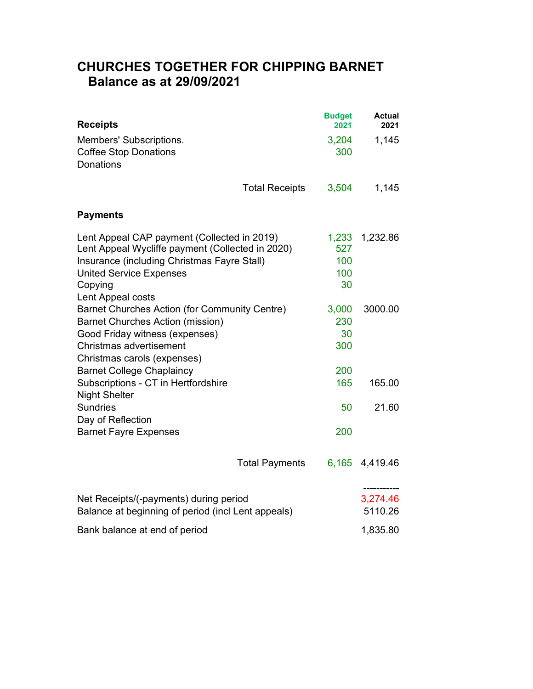# CHURCHES TOGETHER FOR CHIPPING BARNET Balance as at 29/09/2021

| <b>Receipts</b>                                                                                                                                                                                                  |                       | <b>Budget</b><br>2021            | <b>Actual</b><br>2021              |  |
|------------------------------------------------------------------------------------------------------------------------------------------------------------------------------------------------------------------|-----------------------|----------------------------------|------------------------------------|--|
| Members' Subscriptions.<br><b>Coffee Stop Donations</b><br><b>Donations</b>                                                                                                                                      |                       | 3,204<br>300                     | 1,145                              |  |
|                                                                                                                                                                                                                  | <b>Total Receipts</b> | 3,504                            | 1,145                              |  |
| <b>Payments</b>                                                                                                                                                                                                  |                       |                                  |                                    |  |
| Lent Appeal CAP payment (Collected in 2019)<br>Lent Appeal Wycliffe payment (Collected in 2020)<br>Insurance (including Christmas Fayre Stall)<br><b>United Service Expenses</b><br>Copying<br>Lent Appeal costs |                       | 1,233<br>527<br>100<br>100<br>30 | 1,232.86                           |  |
| Barnet Churches Action (for Community Centre)<br><b>Barnet Churches Action (mission)</b><br>Good Friday witness (expenses)<br>Christmas advertisement<br>Christmas carols (expenses)                             |                       | 3,000<br>230<br>30<br>300        | 3000.00                            |  |
| <b>Barnet College Chaplaincy</b><br>Subscriptions - CT in Hertfordshire                                                                                                                                          |                       | 200<br>165                       | 165.00                             |  |
| <b>Night Shelter</b>                                                                                                                                                                                             |                       |                                  |                                    |  |
| <b>Sundries</b><br>Day of Reflection                                                                                                                                                                             |                       | 50                               | 21.60                              |  |
| <b>Barnet Fayre Expenses</b>                                                                                                                                                                                     |                       | 200                              |                                    |  |
|                                                                                                                                                                                                                  | <b>Total Payments</b> | 6,165                            | 4,419.46                           |  |
| Net Receipts/(-payments) during period<br>Balance at beginning of period (incl Lent appeals)                                                                                                                     |                       |                                  | -----------<br>3,274.46<br>5110.26 |  |
| Bank balance at end of period                                                                                                                                                                                    |                       |                                  | 1,835.80                           |  |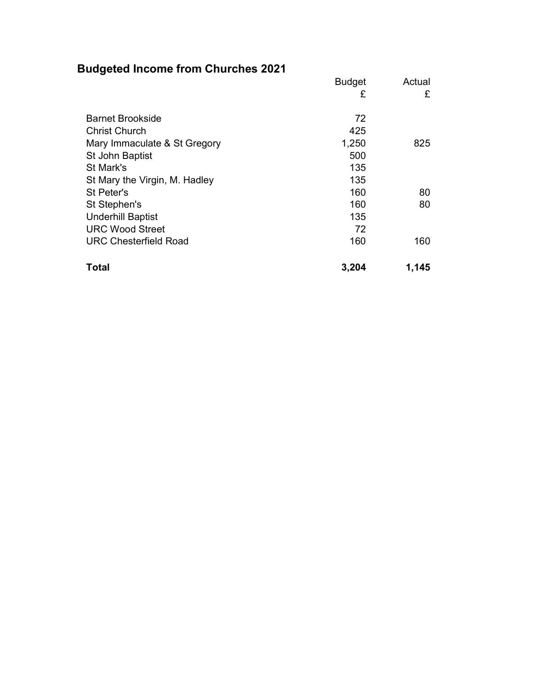# Budgeted Income from Churches 2021

|                               | <b>Budget</b> | Actual |
|-------------------------------|---------------|--------|
|                               | £             | £      |
|                               |               |        |
| <b>Barnet Brookside</b>       | 72            |        |
| <b>Christ Church</b>          | 425           |        |
| Mary Immaculate & St Gregory  | 1,250         | 825    |
| St John Baptist               | 500           |        |
| St Mark's                     | 135           |        |
| St Mary the Virgin, M. Hadley | 135           |        |
| St Peter's                    | 160           | 80     |
| St Stephen's                  | 160           | 80     |
| <b>Underhill Baptist</b>      | 135           |        |
| <b>URC Wood Street</b>        | 72            |        |
| <b>URC Chesterfield Road</b>  | 160           | 160    |
| <b>Total</b>                  | 3,204         | 1,145  |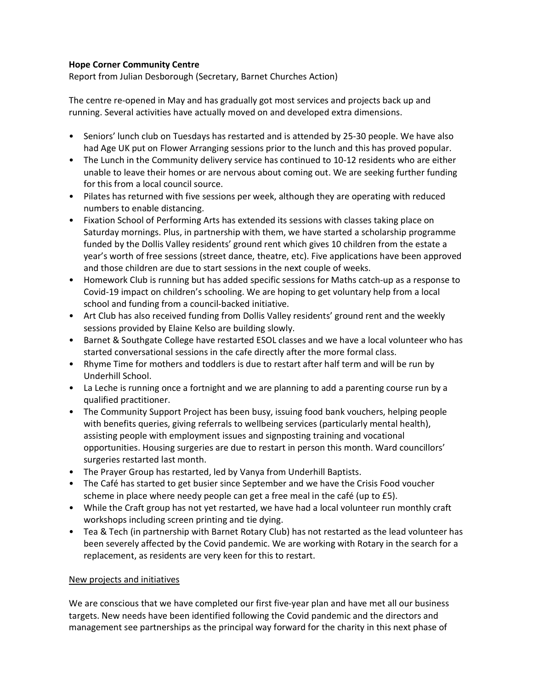### Hope Corner Community Centre

Report from Julian Desborough (Secretary, Barnet Churches Action)

The centre re-opened in May and has gradually got most services and projects back up and running. Several activities have actually moved on and developed extra dimensions.

- Seniors' lunch club on Tuesdays has restarted and is attended by 25-30 people. We have also had Age UK put on Flower Arranging sessions prior to the lunch and this has proved popular.
- The Lunch in the Community delivery service has continued to 10-12 residents who are either unable to leave their homes or are nervous about coming out. We are seeking further funding for this from a local council source.
- Pilates has returned with five sessions per week, although they are operating with reduced numbers to enable distancing.
- Fixation School of Performing Arts has extended its sessions with classes taking place on Saturday mornings. Plus, in partnership with them, we have started a scholarship programme funded by the Dollis Valley residents' ground rent which gives 10 children from the estate a year's worth of free sessions (street dance, theatre, etc). Five applications have been approved and those children are due to start sessions in the next couple of weeks.
- Homework Club is running but has added specific sessions for Maths catch-up as a response to Covid-19 impact on children's schooling. We are hoping to get voluntary help from a local school and funding from a council-backed initiative.
- Art Club has also received funding from Dollis Valley residents' ground rent and the weekly sessions provided by Elaine Kelso are building slowly.
- Barnet & Southgate College have restarted ESOL classes and we have a local volunteer who has started conversational sessions in the cafe directly after the more formal class.
- Rhyme Time for mothers and toddlers is due to restart after half term and will be run by Underhill School.
- La Leche is running once a fortnight and we are planning to add a parenting course run by a qualified practitioner.
- The Community Support Project has been busy, issuing food bank vouchers, helping people with benefits queries, giving referrals to wellbeing services (particularly mental health), assisting people with employment issues and signposting training and vocational opportunities. Housing surgeries are due to restart in person this month. Ward councillors' surgeries restarted last month.
- The Prayer Group has restarted, led by Vanya from Underhill Baptists.
- The Café has started to get busier since September and we have the Crisis Food voucher scheme in place where needy people can get a free meal in the café (up to £5).
- While the Craft group has not yet restarted, we have had a local volunteer run monthly craft workshops including screen printing and tie dying.
- Tea & Tech (in partnership with Barnet Rotary Club) has not restarted as the lead volunteer has been severely affected by the Covid pandemic. We are working with Rotary in the search for a replacement, as residents are very keen for this to restart.

#### New projects and initiatives

We are conscious that we have completed our first five-year plan and have met all our business targets. New needs have been identified following the Covid pandemic and the directors and management see partnerships as the principal way forward for the charity in this next phase of